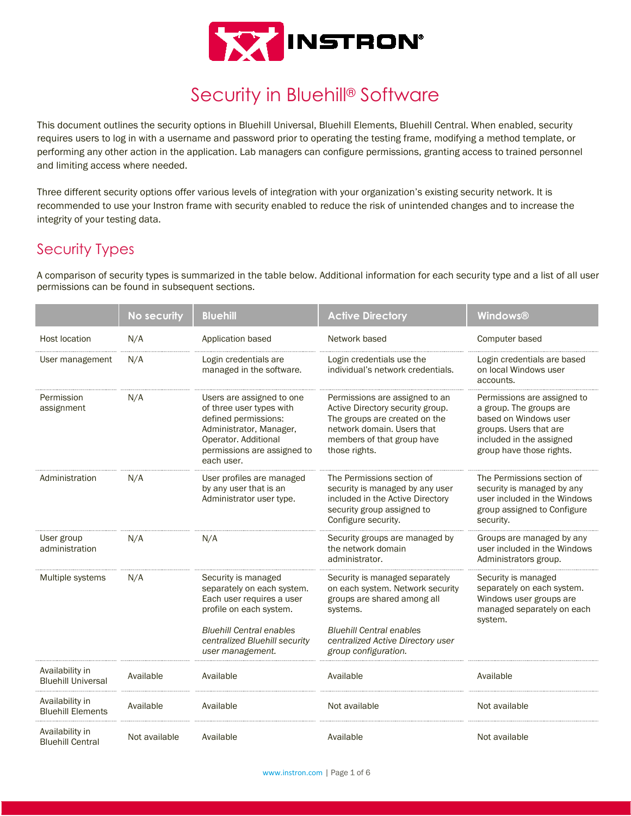

# Security in Bluehill® Software

This document outlines the security options in Bluehill Universal, Bluehill Elements, Bluehill Central. When enabled, security requires users to log in with a username and password prior to operating the testing frame, modifying a method template, or performing any other action in the application. Lab managers can configure permissions, granting access to trained personnel and limiting access where needed.

Three different security options offer various levels of integration with your organization's existing security network. It is recommended to use your Instron frame with security enabled to reduce the risk of unintended changes and to increase the integrity of your testing data.

## Security Types

A comparison of security types is summarized in the table below. Additional information for each security type and a list of all user permissions can be found in subsequent sections.

|                                              | No security   | <b>Bluehill</b>                                                                                                                                                                                   | <b>Active Directory</b>                                                                                                                                                                                       | <b>Windows®</b>                                                                                                                                                   |
|----------------------------------------------|---------------|---------------------------------------------------------------------------------------------------------------------------------------------------------------------------------------------------|---------------------------------------------------------------------------------------------------------------------------------------------------------------------------------------------------------------|-------------------------------------------------------------------------------------------------------------------------------------------------------------------|
| <b>Host location</b>                         | N/A           | Application based                                                                                                                                                                                 | Network based                                                                                                                                                                                                 | Computer based                                                                                                                                                    |
| User management                              | N/A           | Login credentials are<br>managed in the software.                                                                                                                                                 | Login credentials use the<br>individual's network credentials.                                                                                                                                                | Login credentials are based<br>on local Windows user<br>accounts.                                                                                                 |
| Permission<br>assignment                     | N/A           | Users are assigned to one<br>of three user types with<br>defined permissions:<br>Administrator, Manager,<br>Operator. Additional<br>permissions are assigned to<br>each user.                     | Permissions are assigned to an<br>Active Directory security group.<br>The groups are created on the<br>network domain. Users that<br>members of that group have<br>those rights.                              | Permissions are assigned to<br>a group. The groups are<br>based on Windows user<br>groups. Users that are<br>included in the assigned<br>group have those rights. |
| Administration                               | N/A           | User profiles are managed<br>by any user that is an<br>Administrator user type.                                                                                                                   | The Permissions section of<br>security is managed by any user<br>included in the Active Directory<br>security group assigned to<br>Configure security.                                                        | The Permissions section of<br>security is managed by any<br>user included in the Windows<br>group assigned to Configure<br>security.                              |
| User group<br>administration                 | N/A           | N/A                                                                                                                                                                                               | Security groups are managed by<br>the network domain<br>administrator.                                                                                                                                        | Groups are managed by any<br>user included in the Windows<br>Administrators group.                                                                                |
| Multiple systems                             | N/A           | Security is managed<br>separately on each system.<br>Each user requires a user<br>profile on each system.<br><b>Bluehill Central enables</b><br>centralized Bluehill security<br>user management. | Security is managed separately<br>on each system. Network security<br>groups are shared among all<br>systems.<br><b>Bluehill Central enables</b><br>centralized Active Directory user<br>group configuration. | Security is managed<br>separately on each system.<br>Windows user groups are<br>managed separately on each<br>system.                                             |
| Availability in<br><b>Bluehill Universal</b> | Available     | Available                                                                                                                                                                                         | Available                                                                                                                                                                                                     | Available                                                                                                                                                         |
| Availability in<br><b>Bluehill Elements</b>  | Available     | Available                                                                                                                                                                                         | Not available                                                                                                                                                                                                 | Not available                                                                                                                                                     |
| Availability in<br><b>Bluehill Central</b>   | Not available | Available                                                                                                                                                                                         | Available                                                                                                                                                                                                     | Not available                                                                                                                                                     |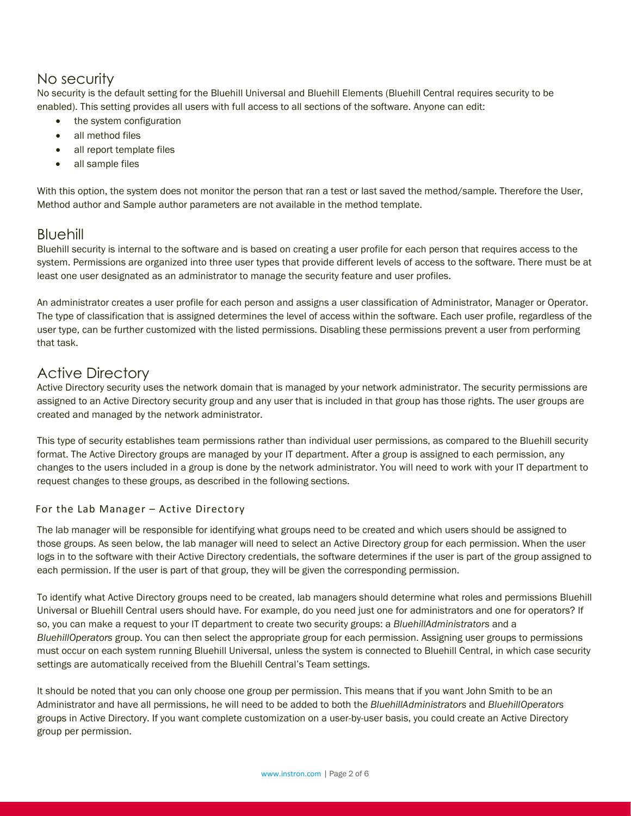## No security

No security is the default setting for the Bluehill Universal and Bluehill Elements (Bluehill Central requires security to be enabled). This setting provides all users with full access to all sections of the software. Anyone can edit:

- the system configuration
- all method files
- all report template files
- all sample files

With this option, the system does not monitor the person that ran a test or last saved the method/sample. Therefore the User, Method author and Sample author parameters are not available in the method template.

## Bluehill

Bluehill security is internal to the software and is based on creating a user profile for each person that requires access to the system. Permissions are organized into three user types that provide different levels of access to the software. There must be at least one user designated as an administrator to manage the security feature and user profiles.

An administrator creates a user profile for each person and assigns a user classification of Administrator, Manager or Operator. The type of classification that is assigned determines the level of access within the software. Each user profile, regardless of the user type, can be further customized with the listed permissions. Disabling these permissions prevent a user from performing that task.

## Active Directory

Active Directory security uses the network domain that is managed by your network administrator. The security permissions are assigned to an Active Directory security group and any user that is included in that group has those rights. The user groups are created and managed by the network administrator.

This type of security establishes team permissions rather than individual user permissions, as compared to the Bluehill security format. The Active Directory groups are managed by your IT department. After a group is assigned to each permission, any changes to the users included in a group is done by the network administrator. You will need to work with your IT department to request changes to these groups, as described in the following sections.

#### For the Lab Manager – Active Directory

The lab manager will be responsible for identifying what groups need to be created and which users should be assigned to those groups. As seen below, the lab manager will need to select an Active Directory group for each permission. When the user logs in to the software with their Active Directory credentials, the software determines if the user is part of the group assigned to each permission. If the user is part of that group, they will be given the corresponding permission.

To identify what Active Directory groups need to be created, lab managers should determine what roles and permissions Bluehill Universal or Bluehill Central users should have. For example, do you need just one for administrators and one for operators? If so, you can make a request to your IT department to create two security groups: a *BluehillAdministrators* and a *BluehillOperators* group. You can then select the appropriate group for each permission. Assigning user groups to permissions must occur on each system running Bluehill Universal, unless the system is connected to Bluehill Central, in which case security settings are automatically received from the Bluehill Central's Team settings.

It should be noted that you can only choose one group per permission. This means that if you want John Smith to be an Administrator and have all permissions, he will need to be added to both the *BluehillAdministrators* and *BluehillOperators* groups in Active Directory. If you want complete customization on a user-by-user basis, you could create an Active Directory group per permission.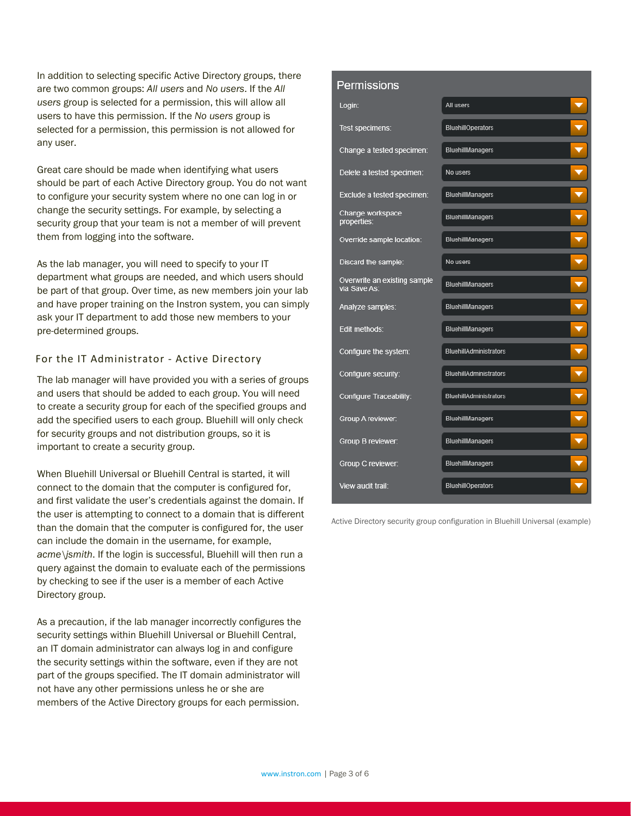In addition to selecting specific Active Directory groups, there are two common groups: *All users* and *No users*. If the *All users* group is selected for a permission, this will allow all users to have this permission. If the *No users* group is selected for a permission, this permission is not allowed for any user.

Great care should be made when identifying what users should be part of each Active Directory group. You do not want to configure your security system where no one can log in or change the security settings. For example, by selecting a security group that your team is not a member of will prevent them from logging into the software.

As the lab manager, you will need to specify to your IT department what groups are needed, and which users should be part of that group. Over time, as new members join your lab and have proper training on the Instron system, you can simply ask your IT department to add those new members to your pre-determined groups.

#### For the IT Administrator - Active Directory

The lab manager will have provided you with a series of groups and users that should be added to each group. You will need to create a security group for each of the specified groups and add the specified users to each group. Bluehill will only check for security groups and not distribution groups, so it is important to create a security group.

When Bluehill Universal or Bluehill Central is started, it will connect to the domain that the computer is configured for, and first validate the user's credentials against the domain. If the user is attempting to connect to a domain that is different than the domain that the computer is configured for, the user can include the domain in the username, for example, *acme\jsmith*. If the login is successful, Bluehill will then run a query against the domain to evaluate each of the permissions by checking to see if the user is a member of each Active Directory group.

As a precaution, if the lab manager incorrectly configures the security settings within Bluehill Universal or Bluehill Central, an IT domain administrator can always log in and configure the security settings within the software, even if they are not part of the groups specified. The IT domain administrator will not have any other permissions unless he or she are members of the Active Directory groups for each permission.

#### **Permissions**

| Login:                                       | All users                     |
|----------------------------------------------|-------------------------------|
| Test specimens:                              | <b>BluehillOperators</b>      |
| Change a tested specimen:                    | <b>BluehillManagers</b>       |
| Delete a tested specimen:                    | No users                      |
| Exclude a tested specimen:                   | <b>BluehillManagers</b>       |
| Change workspace<br>properties:              | <b>BluehillManagers</b>       |
| Override sample location:                    | <b>BluehillManagers</b>       |
| Discard the sample:                          | No users                      |
| Overwrite an existing sample<br>via Save As: | <b>BluehillManagers</b>       |
| Analyze samples:                             | BluehillManagers              |
| Edit methods:                                | BluehillManagers              |
| Configure the system:                        | <b>BluehillAdministrators</b> |
| Configure security:                          | <b>BluehillAdministrators</b> |
| Configure Traceability:                      | <b>BluehillAdministrators</b> |
| Group A reviewer:                            | <b>BluehillManagers</b>       |
| Group B reviewer:                            | <b>BluehillManagers</b>       |
| Group C reviewer:                            | <b>BluehillManagers</b>       |
| View audit trail:                            | <b>BluehillOperators</b>      |

Active Directory security group configuration in Bluehill Universal (example)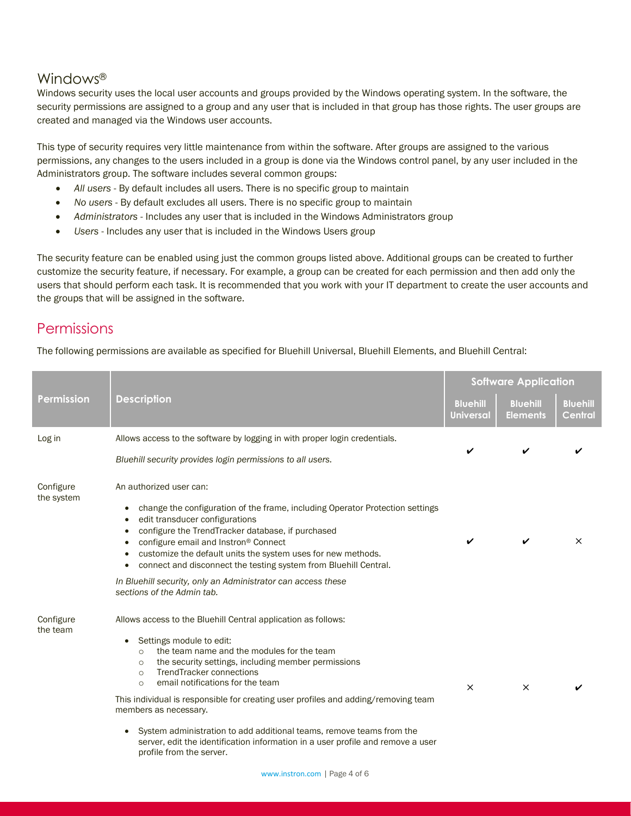## Windows®

Windows security uses the local user accounts and groups provided by the Windows operating system. In the software, the security permissions are assigned to a group and any user that is included in that group has those rights. The user groups are created and managed via the Windows user accounts.

This type of security requires very little maintenance from within the software. After groups are assigned to the various permissions, any changes to the users included in a group is done via the Windows control panel, by any user included in the Administrators group. The software includes several common groups:

- *All users* By default includes all users. There is no specific group to maintain
- *No users* By default excludes all users. There is no specific group to maintain
- *Administrators* Includes any user that is included in the Windows Administrators group
- *Users* Includes any user that is included in the Windows Users group

The security feature can be enabled using just the common groups listed above. Additional groups can be created to further customize the security feature, if necessary. For example, a group can be created for each permission and then add only the users that should perform each task. It is recommended that you work with your IT department to create the user accounts and the groups that will be assigned in the software.

## **Permissions**

The following permissions are available as specified for Bluehill Universal, Bluehill Elements, and Bluehill Central:

|                         |                                                                                                                                                                                                                                                                                                                                                                                                                                                                                                                                                                                                                                                   | <b>Software Application</b>         |                                    |                            |
|-------------------------|---------------------------------------------------------------------------------------------------------------------------------------------------------------------------------------------------------------------------------------------------------------------------------------------------------------------------------------------------------------------------------------------------------------------------------------------------------------------------------------------------------------------------------------------------------------------------------------------------------------------------------------------------|-------------------------------------|------------------------------------|----------------------------|
| <b>Permission</b>       | <b>Description</b>                                                                                                                                                                                                                                                                                                                                                                                                                                                                                                                                                                                                                                | <b>Bluehill</b><br><b>Universal</b> | <b>Bluehill</b><br><b>Elements</b> | <b>Bluehill</b><br>Central |
| Log in                  | Allows access to the software by logging in with proper login credentials.<br>Bluehill security provides login permissions to all users.                                                                                                                                                                                                                                                                                                                                                                                                                                                                                                          |                                     |                                    |                            |
| Configure<br>the system | An authorized user can:<br>change the configuration of the frame, including Operator Protection settings<br>edit transducer configurations<br>configure the TrendTracker database, if purchased<br>configure email and Instron® Connect<br>customize the default units the system uses for new methods.<br>connect and disconnect the testing system from Bluehill Central.<br>In Bluehill security, only an Administrator can access these<br>sections of the Admin tab.                                                                                                                                                                         |                                     |                                    | $\times$                   |
| Configure<br>the team   | Allows access to the Bluehill Central application as follows:<br>Settings module to edit:<br>$\bullet$<br>the team name and the modules for the team<br>$\circ$<br>the security settings, including member permissions<br>$\circ$<br><b>TrendTracker connections</b><br>$\circ$<br>email notifications for the team<br>$\circ$<br>This individual is responsible for creating user profiles and adding/removing team<br>members as necessary.<br>System administration to add additional teams, remove teams from the<br>$\bullet$<br>server, edit the identification information in a user profile and remove a user<br>profile from the server. | $\times$                            | $\times$                           |                            |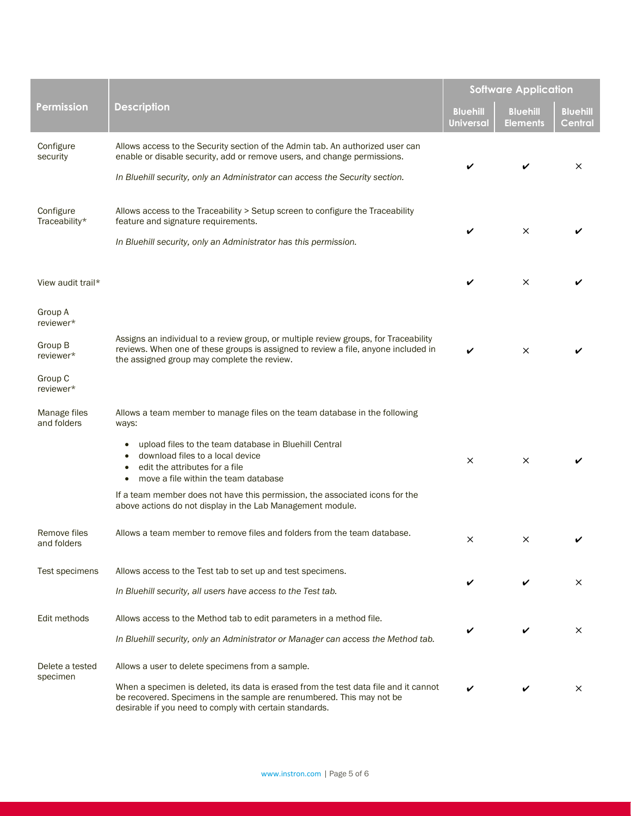|                                                                      |                                                                                                                                                                                                                                                                                                                                                                                                                       | <b>Software Application</b>         |                                    |                                   |
|----------------------------------------------------------------------|-----------------------------------------------------------------------------------------------------------------------------------------------------------------------------------------------------------------------------------------------------------------------------------------------------------------------------------------------------------------------------------------------------------------------|-------------------------------------|------------------------------------|-----------------------------------|
| Permission                                                           | <b>Description</b>                                                                                                                                                                                                                                                                                                                                                                                                    | <b>Bluehill</b><br><b>Universal</b> | <b>Bluehill</b><br><b>Elements</b> | <b>Bluehill</b><br><b>Central</b> |
| Configure<br>security                                                | Allows access to the Security section of the Admin tab. An authorized user can<br>enable or disable security, add or remove users, and change permissions.<br>In Bluehill security, only an Administrator can access the Security section.                                                                                                                                                                            |                                     |                                    | $\times$                          |
| Configure<br>Traceability*                                           | Allows access to the Traceability > Setup screen to configure the Traceability<br>feature and signature requirements.<br>In Bluehill security, only an Administrator has this permission.                                                                                                                                                                                                                             |                                     | $\times$                           |                                   |
| View audit trail*                                                    |                                                                                                                                                                                                                                                                                                                                                                                                                       | V                                   | $\times$                           |                                   |
| Group A<br>reviewer*<br>Group B<br>reviewer*<br>Group C<br>reviewer* | Assigns an individual to a review group, or multiple review groups, for Traceability<br>reviews. When one of these groups is assigned to review a file, anyone included in<br>the assigned group may complete the review.                                                                                                                                                                                             |                                     | $\times$                           |                                   |
| Manage files<br>and folders                                          | Allows a team member to manage files on the team database in the following<br>ways:<br>upload files to the team database in Bluehill Central<br>$\bullet$<br>download files to a local device<br>edit the attributes for a file<br>move a file within the team database<br>If a team member does not have this permission, the associated icons for the<br>above actions do not display in the Lab Management module. | $\times$                            | $\times$                           |                                   |
| Remove files<br>and folders                                          | Allows a team member to remove files and folders from the team database.                                                                                                                                                                                                                                                                                                                                              |                                     |                                    |                                   |
| Test specimens                                                       | Allows access to the Test tab to set up and test specimens.<br>In Bluehill security, all users have access to the Test tab.                                                                                                                                                                                                                                                                                           |                                     |                                    | $\times$                          |
| Edit methods                                                         | Allows access to the Method tab to edit parameters in a method file.<br>In Bluehill security, only an Administrator or Manager can access the Method tab.                                                                                                                                                                                                                                                             |                                     |                                    | $\times$                          |
| Delete a tested<br>specimen                                          | Allows a user to delete specimens from a sample.<br>When a specimen is deleted, its data is erased from the test data file and it cannot<br>be recovered. Specimens in the sample are renumbered. This may not be<br>desirable if you need to comply with certain standards.                                                                                                                                          |                                     |                                    | $\times$                          |